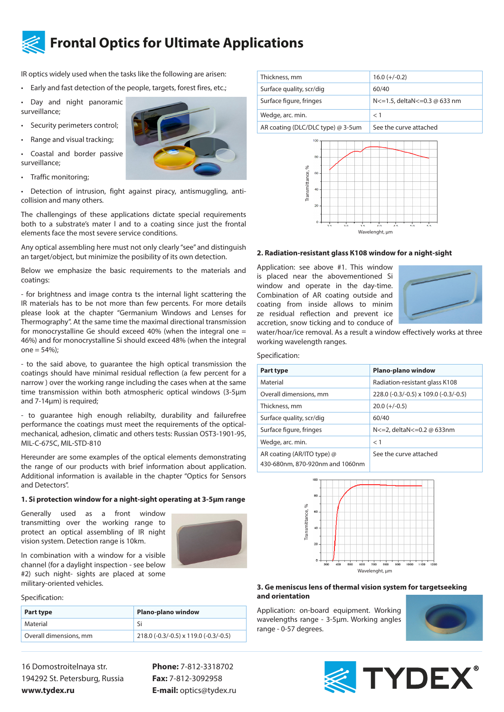

# **Frontal Optics for Ultimate Applications**

IR optics widely used when the tasks like the following are arisen:

• Early and fast detection of the people, targets, forest fires, etc.;

Day and night panoramic surveillance;

- Security perimeters control;
- Range and visual tracking; • Coastal and border passive



• Traffic monitoring;

surveillance;

• Detection of intrusion, fight against piracy, antismuggling, anticollision and many others.

The challengings of these applications dictate special requirements both to a substrate's mater l and to a coating since just the frontal elements face the most severe service conditions.

Any optical assembling here must not only clearly "see" and distinguish an target/object, but minimize the posibility of its own detection.

Below we emphasize the basic requirements to the materials and coatings:

- for brightness and image contra ts the internal light scattering the IR materials has to be not more than few percents. For more details please look at the chapter "Germanium Windows and Lenses for Thermography". At the same time the maximal directional transmission for monocrystalline Ge should exceed 40% (when the integral one = 46%) and for monocrystalline Si should exceed 48% (when the integral  $one = 54%$ ;

- to the said above, to guarantee the high optical transmission the coatings should have minimal residual reflection (a few percent for a narrow ) over the working range including the cases when at the same time transmission within both atmospheric optical windows (3-5μm and 7-14μm) is required;

- to guarantee high enough reliabilty, durability and failurefree performance the coatings must meet the requirements of the opticalmechanical, adhesion, climatic and others tests: Russian OSТ3-1901-95, MIL-C-675C, MIL-STD-810

Hereunder are some examples of the optical elements demonstrating the range of our products with brief information about application. Additional information is available in the chapter "Optics for Sensors and Detectors".

#### **1. Si protection window for a night-sight operating at 3-5μm range**

Generally used as a front window transmitting over the working range to protect an optical assembling of IR night vision system. Detection range is 10km.



In combination with a window for a visible channel (for a daylight inspection - see below #2) such night- sights are placed at some military-oriented vehicles.

Specification:

| Part type              | Plano-plano window                    |
|------------------------|---------------------------------------|
| Material               | ۲i                                    |
| Overall dimensions, mm | 218.0 (-0.3/-0.5) x 119.0 (-0.3/-0.5) |

16 Domostroitelnaya str. 194292 St. Petersburg, Russia **www.tydex.ru** 

**Phone:** 7-812-3318702 **Fax:** 7-812-3092958 **E-mail:** optics@tydex.ru

| Thickness, mm                     | $16.0 (+/-0.2)$                  |
|-----------------------------------|----------------------------------|
| Surface quality, scr/dig          | 60/40                            |
| Surface figure, fringes           | N <= 1.5, deltaN <= 0.3 @ 633 nm |
| Wedge, arc. min.                  | $<$ 1                            |
| AR coating (DLC/DLC type) @ 3-5um | See the curve attached           |
|                                   |                                  |



#### **2. Radiation-resistant glass К108 window for a night-sight**



### Specification:

| Transmittance, %<br>60<br>40<br>20<br>$\mathbf 0$<br>25<br>3 <sup>1</sup><br>3.5                                                                                                                                                                                                                                           | 4 <sub>5</sub><br>5 <sub>5</sub><br>40<br>5 <sup>1</sup><br>Wavelenght, um |  |
|----------------------------------------------------------------------------------------------------------------------------------------------------------------------------------------------------------------------------------------------------------------------------------------------------------------------------|----------------------------------------------------------------------------|--|
| 2. Radiation-resistant glass K108 window for a night-sight                                                                                                                                                                                                                                                                 |                                                                            |  |
| Application: see above #1. This window<br>is placed near the abovementioned Si<br>window and operate in the day-time.<br>Combination of AR coating outside and<br>coating from inside allows to minim<br>ze residual reflection and prevent ice<br>accretion, snow ticking and to conduce of<br>working wavelength ranges. | water/hoar/ice removal. As a result a window effectively works at three    |  |
| Specification:                                                                                                                                                                                                                                                                                                             |                                                                            |  |
| Part type                                                                                                                                                                                                                                                                                                                  | Plano-plano window                                                         |  |
| Material                                                                                                                                                                                                                                                                                                                   | Radiation-resistant glass K108                                             |  |
| Overall dimensions, mm                                                                                                                                                                                                                                                                                                     | 228.0 (-0.3/-0.5) x 109.0 (-0.3/-0.5)                                      |  |
| Thickness, mm                                                                                                                                                                                                                                                                                                              | $20.0 (+/-0.5)$                                                            |  |
| Surface quality, scr/dig                                                                                                                                                                                                                                                                                                   | 60/40                                                                      |  |
| Surface figure, fringes                                                                                                                                                                                                                                                                                                    | N <= 2, deltaN <= 0.2 @ 633nm                                              |  |
| Wedge, arc. min.                                                                                                                                                                                                                                                                                                           | < 1                                                                        |  |
| AR coating (AR/ITO type) @<br>430-680nm, 870-920nm and 1060nm                                                                                                                                                                                                                                                              | See the curve attached                                                     |  |
| 100<br>80<br>Transmittance, %<br>60<br>$\sqrt{2}$<br>20<br>400<br>500<br>600<br>700<br>800<br>900<br>1000<br>1100<br>300<br>1200<br>Wavelenght, µm<br>3. Ge meniscus lens of thermal vision system for targetseeking<br>and orientation                                                                                    |                                                                            |  |
| Application: on-board equipment. Working<br>wavelengths range - 3-5µm. Working angles<br>range - 0-57 degrees.                                                                                                                                                                                                             |                                                                            |  |



#### **3. Ge meniscus lens of thermal vision system for targetseeking and orientation**



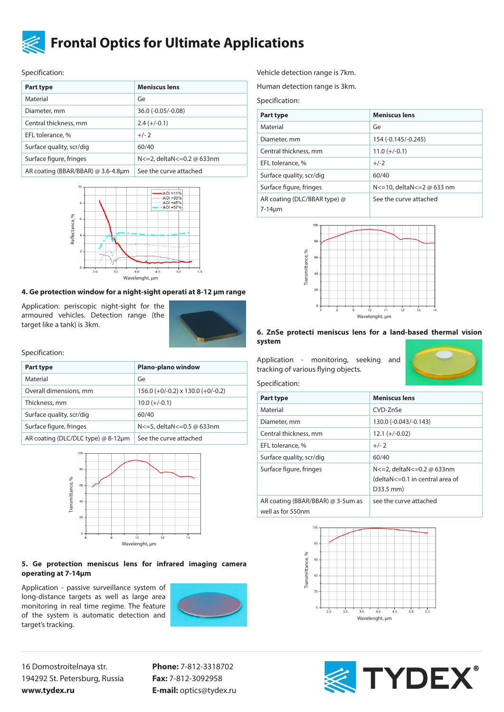

## **Frontal Optics for Ultimate Applications**

Specification:

| Part type                          | <b>Meniscus lens</b>      |
|------------------------------------|---------------------------|
| Material                           | Ge                        |
| Diameter, mm                       | 36.0 (-0.05/-0.08)        |
| Central thickness, mm              | $2.4 (+/-0.1)$            |
| EFL tolerance, %                   | $+/-2$                    |
| Surface quality, scr/dig           | 60/40                     |
| Surface figure, fringes            | N<=2, deltaN<=0.2 @ 633nm |
| AR coating (BBAR/BBAR) @ 3.6-4.8µm | See the curve attached    |



## **4. Ge protection window for a night-sight operati at 8-12 μm range**

Application: periscopic night-sight for the armoured vehicles. Detection range (the target like a tank) is 3km.



Specification:

| Plano-plano window                       |
|------------------------------------------|
| Ge                                       |
| $156.0 (+0/-0.2) \times 130.0 (+0/-0.2)$ |
| $10.0 (+/-0.1)$                          |
| 60/40                                    |
| N<=5, deltaN<=0.5 @ 633nm                |
| See the curve attached                   |
|                                          |



#### **5. Ge protection meniscus lens for infrared imaging camera operating at 7-14μm**

Application - passive surveillance system of long-distance targets as well as large area monitoring in real time regime. The feature of the system is automatic detection and target's tracking.



16 Domostroitelnaya str. 194292 St. Petersburg, Russia **www.tydex.ru** 

**Phone:** 7-812-3318702 **Fax:** 7-812-3092958 **E-mail:** optics@tydex.ru Vehicle detection range is 7km.

Human detection range is 3km.

Specification:

| Part type                                    | <b>Meniscus lens</b>          |
|----------------------------------------------|-------------------------------|
| Material                                     | Ge                            |
| Diameter, mm                                 | 154 (-0.145/-0.245)           |
| Central thickness, mm                        | $11.0 (+/-0.1)$               |
| EFL tolerance, %                             | $+/-2$                        |
| Surface quality, scr/dig                     | 60/40                         |
| Surface figure, fringes                      | N <= 10, deltaN <= 2 @ 633 nm |
| AR coating (DLC/BBAR type) @<br>$7-14 \mu m$ | See the curve attached        |



### **6. ZnSe protecti meniscus lens for a land-based thermal vision system**

Application - monitoring, seeking and tracking of various flying objects.

## Specification:

| Part type                                              | <b>Meniscus lens</b>                                                        |
|--------------------------------------------------------|-----------------------------------------------------------------------------|
| Material                                               | CVD-7nSe                                                                    |
| Diameter, mm                                           | 130.0 (-0.043/-0.143)                                                       |
| Central thickness, mm                                  | $12.1 (+/-0.02)$                                                            |
| EFL tolerance, %                                       | $+/- 2$                                                                     |
| Surface quality, scr/dig                               | 60/40                                                                       |
| Surface figure, fringes                                | N<=2, deltaN<=0.2 @ 633nm<br>(deltaN<=0.1 in central area of<br>$D33.5$ mm) |
| AR coating (BBAR/BBAR) @ 3-5um as<br>well as for 550nm | see the curve attached                                                      |